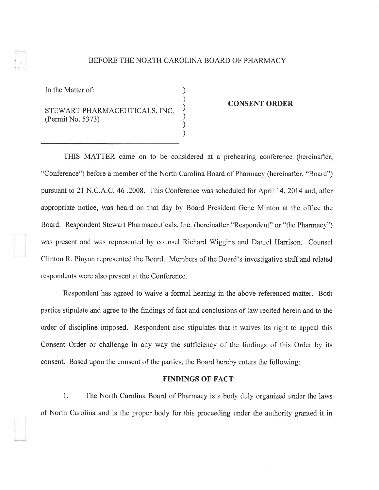#### BEFORE THE NORTH CAROLINA BOARD OF PHARMACY

) ) ) ) ) )

In the Matter of:

# STEWART PHARMACEUTICALS, INC (Permit No. 5373)

#### CONSENT ORDER

THIS MATTER came on to be considered at a prehearing conference (hereinafter, "Conference") before a member of the North Carolina Board of Pharmacy (hereinafter, "Board") pursuant to 21 N.C.A.C. 46 .2008. This Conference was scheduled for April 14,2014 and, after appropriate notice, was heard on that day by Board President Gene Minton at the offrce the Board. Respondent Stewart Pharmaceuticals, Inc. (hereinafter "Respondent" or "the Pharmacy") was present and was represented by counsel Richard Wiggins and Daniel Harrison. Counsel Clinton R. Pinyan represented the Board. Members of the Board's investigative staff and related respondents were also present at the Conference,

Respondent has agreed to waive a formal hearing in the above-referenced matter. Both parties stipulate and agree to the findings of fact and conclusions of law recited herein and to the order of discipline imposed. Respondent also stipulates that it waives its right to appeal this Consent Order or challenge in any way the sufficiency of the findings of this Order by its consent, Based upon the consent of the parties, the Board hereby enters the following:

# FINDINGS OF FACT

1. The North Carolina Board of Pharmacy is a body duly organized under the laws of North Carolina and is the proper body for this proceeding under the authority granted it in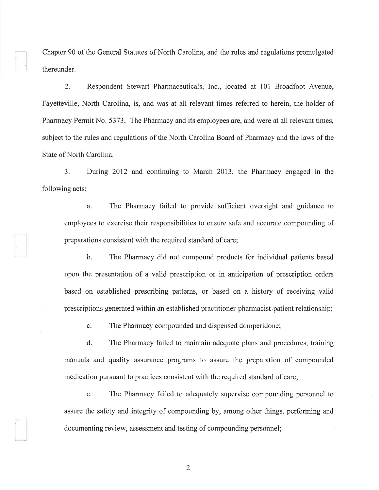Chapter 90 of the General Statutes of North Carolina, and the rules and regulations promulgated thereunder.

2. Respondent Stewart Pharmaceuticals, Inc., located at 101 Broadfoot Avenue, Fayetteville, North Carolina, is, and was at all relevant times referred to herein, the holder of Pharmacy Permit No, 5373. The Pharmacy and its employees are, and were at all relevant times, subject to the rules and regulations of the North Carolina Board of Pharmacy and the laws of the State of North Carolina.

3. During 2012 and continuing to March 2013, the Pharmacy engaged in the following acts:

a. The Pharmacy failed to provide sufficient oversight and guidance to employees to exercise their responsibilities to ensure safe and accurate compounding of preparations consistent with the required standard of care;

b. The Pharmacy did not compound products for individual patients based upon the presentation of a valid prescription or in anticipation of prescription orders based on established prescribing patterns, or based on a history of receiving valid prescriptions generated within an established practitioner-pharmacist-patient relationship;

c. The Pharmacy compounded and dispensed domperidone;

d. The Pharmacy failed to maintain adequate plans and procedures, training manuals and quality assurance programs to assure the preparation of compounded medication pursuant to practices consistent with the required standard of care;

e. The Pharmacy failed to adequately supervise compounding personnel to assure the safety and integrity of compounding by, among other things, performing and documenting review, assessment and testing of compounding personnel;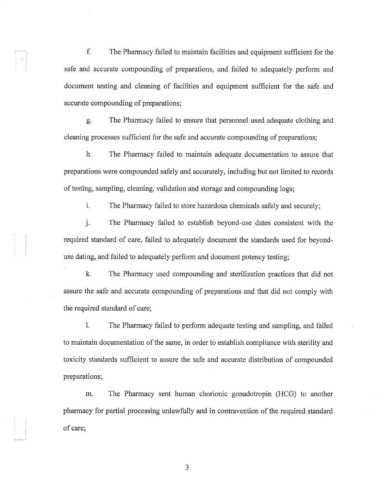f. The Pharmacy failed to maintain facilities and equipment sufficient for the safe and accurate compounding of preparations, and failed to adequately perform and document testing and cleaning of facilities and equipment sufficient for the safe and accurate compounding of preparations;

g. The Pharmacy failed to ensure that personnel used adequate clothing and cleaning processes sufficient for the safe and accurate compounding of preparations;

h. The Pharmacy failed to maintain adequate documentation to assure that preparations were compounded safely and accurately, including but not limited to records of testing, sampling, cleaning, validation and storage and compounding logs;

i. The Pharmacy failed to store hazardous chemicals safely and securely;

j. The Pharmacy failed to establish beyond-use dates consistent with the required standard of care, failed to adequately document the standards used for beyonduse dating, and failed to adequately perform and document potency testing;

k. The Pharmacy used compounding and sterilization practices that did not assure the safe and accurate compounding of preparations and that did not comply with the required standard of care;

l. The Pharmacy failed to perform adequate testing and sampling, and failed to maintain documentation of the same, in order to establish compliance with sterility and toxicity standards sufficient to assure the safe and accurate distribution of compounded preparations;

m. The Pharmacy sent human chorionic gonadotropin (HCG) to another pharmacy for partial processing unlawfully and in contravention of the required standard of care;

a J

l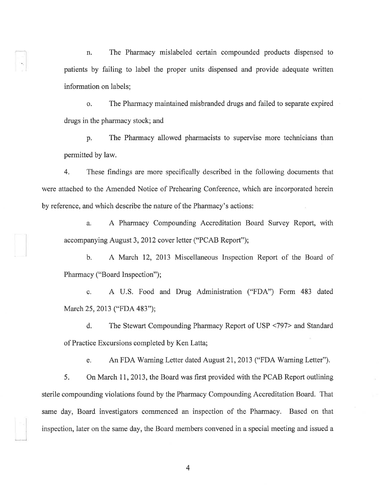n. The Pharmacy mislabeled certain compounded products dispensed to patients by failing to label the proper units dispensed and provide adequate written information on labels;

o. The Pharmacy maintained misbranded drugs and failed to separate expired drugs in the pharmacy stock; and

p, The Pharmacy allowed pharmacists to supervise more technicians than permitted by law.

4. These findings are more specifically described in the following documents that were attached to the Amended Notice of Prehearing Conference, which are incorporated herein by reference, and which describe the nature of the Pharmacy's actions:

a. A Pharmacy Compounding Accreditation Board Survey Report, with accompanying August 3, 2012 cover letter ("PCAB Report");

b. A March 12, 2013 Miscellaneous Inspection Report of the Board of Pharmacy ("Board Inspection");

c. A U.S. Food and Drug Administration ("FDA") Form 483 dated March 25, 2013 ("FDA 483");

d. The Stewart Compounding Pharmacy Report of USP <797> and Standard of Practice Excursions completed by Ken Latta;

e. An FDA Warning Letter dated August 21, 2013 ("FDA Warning Letter").

5. On March I1,2013, the Board was first provided with the PCAB Report outlining sterile compounding violations found by the Pharmacy Compounding Accreditation Board. That same day, Board investigators commenced an inspection of the Pharmacy. Based on that inspection, later on the same day, the Board members convened in a special meeting and issued a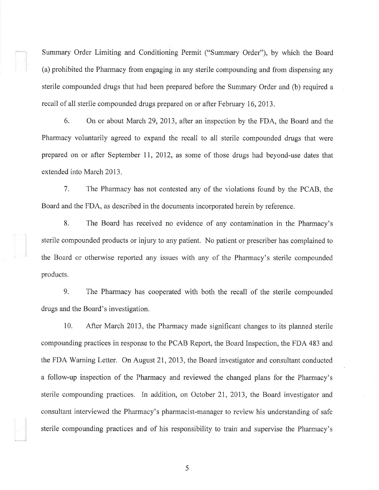Summary Order Limiting and Conditioning Permit ("Summary Order"), by which the Board (a) prohibited the Pharmacy from engaging in any sterile compounding and from dispensing any sterile compounded drugs that had been prepared before the Summary Order and (b) required a recall of all sterile compounded drugs prepared on or after February 16,2013.

6. On or about March 29,2013, after an inspection by the FDA, the Board and the Pharmacy voluntarily agreed to expand the recall to all sterile compounded drugs that were prepared on or after September 17, 2012, as some of those drugs had beyond-use dates that extended into March 2013.

7. The Pharmacy has not contested any of the violations found by the PCAB, the Board and the FDA, as described in the documents incorporated herein by reference.

8. The Board has received no evidence of any contamination in the Pharmacy's sterile compounded products or injury to any patient. No patient or prescriber has complained to the Board or otherwise reported any issues with any of the Pharmacy's sterile compounded products.

9. The Pharmacy has cooperated with both the recall of the sterile compounded drugs and the Board's investigation.

10. After March 2013, the Pharmacy made significant changes to its planned sterile compounding practices in response to the PCAB Report, the Board Inspection, the FDA 483 and the FDA Warning Letter. On August 2I,2013, the Board investigator and consultant conducted a follow-up inspection of the Pharmacy and reviewed the changed plans for the Pharmacy's sterile compounding practices. In addition, on October 2I, 2013, the Board investigator and consultant interviewed the Pharmacy's pharmacist-manager to review his understanding of safe sterile compounding practices and of his responsibility to train and supervise the Pharmacy's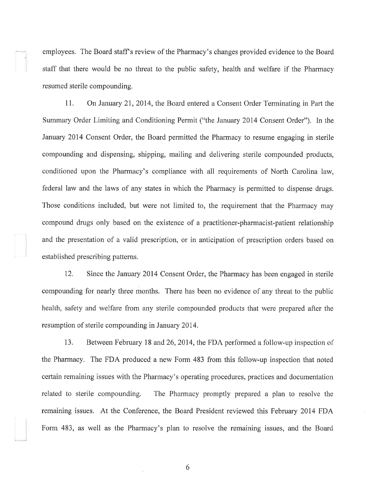employees. The Board staff's review of the Pharmacy's changes provided evidence to the Board staff that there would be no threat to the public safety, health and welfare if the Pharmacy resumed sterile compounding.

11. On January 21, 2014, the Board entered a Consent Order Terminating in Part the Summary Order Limiting and Conditioning Permit ("the January 2014 Consent Order"). In the January 2014 Consent Order, the Board permitted the Pharmacy to resume engaging in sterile compounding and dispensing, shipping, mailing and delivering sterile compounded products, conditioned upon the Pharmacy's compliance with all requirements of North Carolina law, federal law and the laws of any states in which the Pharmacy is permitted to dispense drugs. Those conditions included, but were not limited to, the requirement that the Pharmacy may compound drugs only based on the existence of a practitioner-pharmacist-patient relationship and the presentation of a valid prescription, or in anticipation of prescription orders based on established prescribing pattems.

12. Since the January 2014 Consent Order, the Pharmacy has been engaged in sterile compounding for nearly three months. There has been no evidence of any threat to the public health, safety and welfare from any sterile compounded products that were prepared after the resumption of sterile compounding in January 2014.

13. Between February 18 and 26,2014, the FDA performed a follow-up inspection of the Pharmacy. The FDA produced a new Form 483 from this follow-up inspection that noted cefiain remaining issues with the Pharmacy's operating procedures, practices and documentation related to sterile compounding. The Pharmacy promptly prepared a plan to resolve the remaining issues. At the Conference, the Board President reviewed this February 2014 FDA, Form 483, as well as the Pharmacy's plan to resolve the remaining issues, and the Board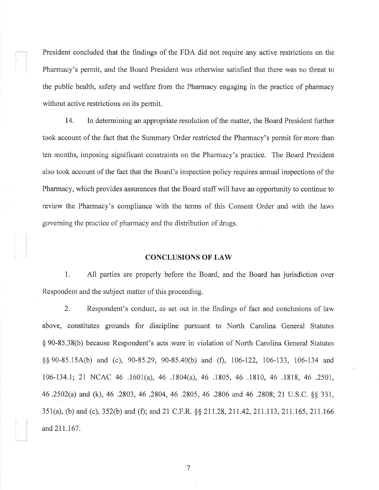President concluded that the findings of the FDA did not require any active restrictions on the Pharmacy's permit, and the Board President was otherwise satished that there was no threat to the public health, safety and welfare from the Pharmacy engaging in the practice of pharmacy without active restrictions on its permit.

14. In determining an appropriate resolution of the matter, the Board President further took account of the fact that the Summary Order restricted the Pharmacy's permit for more than ten months, imposing significant constraints on the Pharmacy's practice. The Board President also took account of the fact that the Board's inspection policy requires annual inspections of the Pharmacy, which provides assurances that the Board staff will have an opportunity to continue to review the Pharmacy's compliance with the terms of this Consent Order and with the laws governing the practice of pharmacy and the distribution of drugs.

## **CONCLUSIONS OF LAW**

1. All parties are properly before the Board, and the Board has jurisdiction over Respondent and the subject matter of this proceeding.

2. Respondent's conduct, as set out in the findings of fact and conclusions of law above, constitutes grounds for discipline pursuant to North Carolina General Statutes \$90-85.38(b) because Respondent's acts were in violation of North Carolina General Statutes \$\$ 90-85,154(b) and (c), 90-85.29, 90-85.40(b) and (f), 106-122, 106-133, 106-134 and 106-134.1; 21 NCAC 46 .1601(a), 46 .1804(a), 46 .1805, 46 .1810, 46 .1818, 46 .2501, 46 .2502(a) and (k), 46 .2803,46 .2804,46 .2805,46 .2806 and 46 .2808; 21 U.S.C, \$\$ 331, 351(a), (b) and (c), 352(b) and (f); and 21 C.F.R.  $\S$  211.28, 211.42, 211.113, 211.165, 211.166 and2Il.167.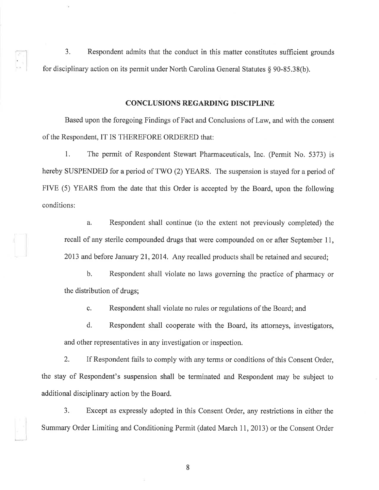3. Respondent admits that the conduct in this matter constitutes sufficient grounds for disciplinary action on its permit under North Carolina General Statutes \$ 90-85.38(b).

## CONCLUSIONS REGARDING DISCIPLINE

Based upon the foregoing Findings of Fact and Conclusions of Law, and with the consent of the Respondent, IT IS THEREFORE ORDERED that:

1. The permit of Respondent Stewart Pharmaceuticals, Inc. (Permit No. 5373) is hereby SUSPENDED for a period of TWO (2) YEARS. The suspension is stayed for a period of FIVE (5) YEARS from the date that this Order is accepted by the Board, upon the following conditions:

a. Respondent shall continue (to the extent not previously completed) the recall of any sterile compounded drugs that were compounded on or after September 11, 2013 and before January 21,2014. Any recalled products shall be retained and secured;

b, Respondent shall violate no laws governing the practice of pharmacy or the distribution of drugs;

c. Respondent shall violate no rules or regulations of the Board; and

d. Respondent shall cooperate with the Board, its attorneys, investigators, and other representatives in any investigation or inspection.

2. If Respondent fails to comply with any terms or conditions of this Consent Order, the stay of Respondent's suspension shall be terminated and Respondent may be subject to additional disciplinary action by the Board.

3. Except as expressly adopted in this Consent Order, any restrictions in either the Summary Order Limiting and Conditioning Permit (dated March 11, 2013) or the Consent Order

l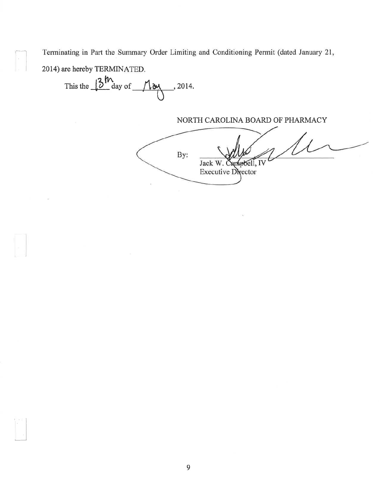Terminating in Part the Summary Order Limiting and Conditioning Permit (dated January 21,

2014) are hereby TERMINATED.

This the  $13^{\frac{1}{2}}$  day of  $\frac{1}{2}$ , 2014.

NORTH CAROLINA BOARD OF PHARMACY

By: Jack W. Canpbell, IV **Executive Director**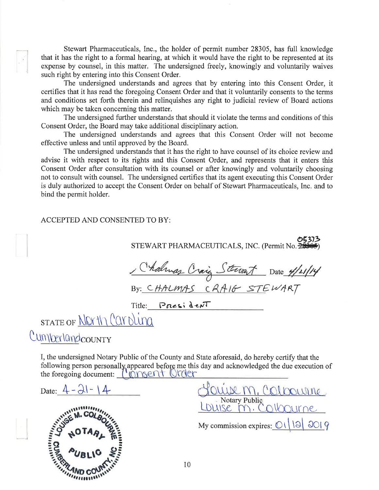Stewart Pharmaceuticals, Inc., the holder of permit number 28305, has full knowledge that it has the right to a formal hearing, at which it would have the right to be represented at its expense by counsel, in this matter. The undersigned freely, knowingly and voluntarily waives such right by entering into this Consent Order.

The undersigned understands and agrees that by entering into this Consent Order, it certifies that it has read the foregoing Consent Order and that it voluntarily consents to the terms and conditions set forth therein and relinquishes any right to judicial review of Board actions which may be taken concerning this matter.

The undersigned further understands that should it violate the terms and conditions of this Consent Order, the Board may take additional disciplinary action.

The undersigned understands and agrees that this Consent Order will not become effective unless and until approved by the Board.

The undersigned understands that it has the right to have counsel of its choice review and advise it with respect to its rights and this Consent Order, and represents that it enters this Consent Order after consultation with its counsel or after knowingly and voluntarily choosing not to consult with counsel. The undersigned certifies that its agent executing this Consent Order is duly authorized to accept the Consent Order on behalf of Stewart Pharmaceuticals, Inc. and to bind the permit holder.

#### ACCEPTED AND CONSENTED TO BY:

STEWART PHARMACEUTICALS, INC. (Permit No. 25 Chalmas Craig Stewart Date 4/21/14 Title: President STATE OF <u>NOrth Carolina</u> Cumperlandcounty

I, the undersigned Notary Public of the County and State aforesaid, do hereby certify that the following person personally appeared before me this day and acknowledged the due execution of the foregoing document: l'ionsent Order

Date:  $4 - 21 - 14$ 



Notary Public My commission expires:  $\bigcirc(13)$  2019